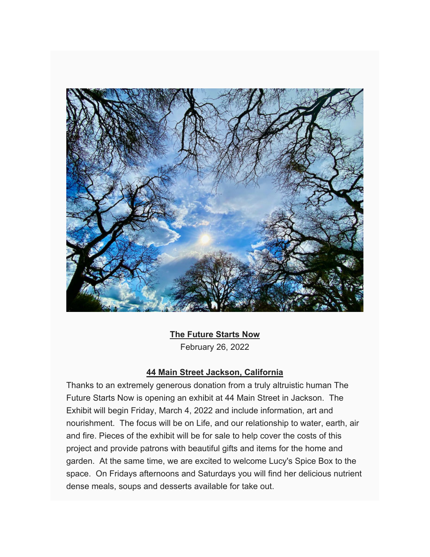

## **The Future Starts Now**

February 26, 2022

### **44 Main Street Jackson, California**

Thanks to an extremely generous donation from a truly altruistic human The Future Starts Now is opening an exhibit at 44 Main Street in Jackson. The Exhibit will begin Friday, March 4, 2022 and include information, art and nourishment. The focus will be on Life, and our relationship to water, earth, air and fire. Pieces of the exhibit will be for sale to help cover the costs of this project and provide patrons with beautiful gifts and items for the home and garden. At the same time, we are excited to welcome Lucy's Spice Box to the space. On Fridays afternoons and Saturdays you will find her delicious nutrient dense meals, soups and desserts available for take out.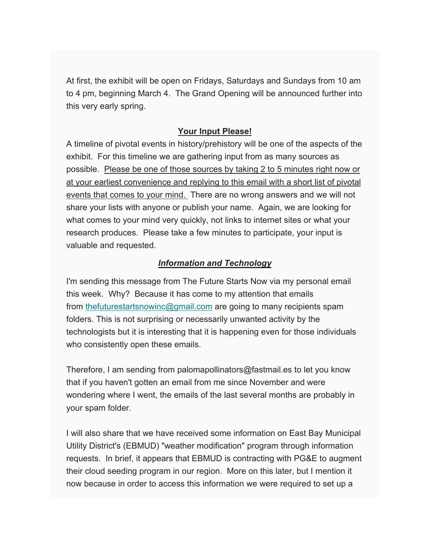At first, the exhibit will be open on Fridays, Saturdays and Sundays from 10 am to 4 pm, beginning March 4. The Grand Opening will be announced further into this very early spring.

### **Your Input Please!**

A timeline of pivotal events in history/prehistory will be one of the aspects of the exhibit. For this timeline we are gathering input from as many sources as possible. Please be one of those sources by taking 2 to 5 minutes right now or at your earliest convenience and replying to this email with a short list of pivotal events that comes to your mind. There are no wrong answers and we will not share your lists with anyone or publish your name. Again, we are looking for what comes to your mind very quickly, not links to internet sites or what your research produces. Please take a few minutes to participate, your input is valuable and requested.

### *Information and Technology*

I'm sending this message from The Future Starts Now via my personal email this week. Why? Because it has come to my attention that emails from thefuturestartsnowinc@gmail.com are going to many recipients spam folders. This is not surprising or necessarily unwanted activity by the technologists but it is interesting that it is happening even for those individuals who consistently open these emails.

Therefore, I am sending from palomapollinators@fastmail.es to let you know that if you haven't gotten an email from me since November and were wondering where I went, the emails of the last several months are probably in your spam folder.

I will also share that we have received some information on East Bay Municipal Utility District's (EBMUD) "weather modification" program through information requests. In brief, it appears that EBMUD is contracting with PG&E to augment their cloud seeding program in our region. More on this later, but I mention it now because in order to access this information we were required to set up a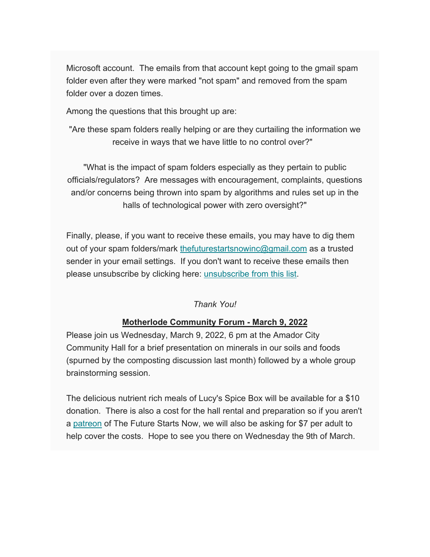Microsoft account. The emails from that account kept going to the gmail spam folder even after they were marked "not spam" and removed from the spam folder over a dozen times.

Among the questions that this brought up are:

"Are these spam folders really helping or are they curtailing the information we receive in ways that we have little to no control over?"

"What is the impact of spam folders especially as they pertain to public officials/regulators? Are messages with encouragement, complaints, questions and/or concerns being thrown into spam by algorithms and rules set up in the halls of technological power with zero oversight?"

Finally, please, if you want to receive these emails, you may have to dig them out of your spam folders/mark thefuturestartsnowinc@gmail.com as a trusted sender in your email settings. If you don't want to receive these emails then please unsubscribe by clicking here: unsubscribe from this list.

## *Thank You!*

# **Motherlode Community Forum - March 9, 2022**

Please join us Wednesday, March 9, 2022, 6 pm at the Amador City Community Hall for a brief presentation on minerals in our soils and foods (spurned by the composting discussion last month) followed by a whole group brainstorming session.

The delicious nutrient rich meals of Lucy's Spice Box will be available for a \$10 donation. There is also a cost for the hall rental and preparation so if you aren't a patreon of The Future Starts Now, we will also be asking for \$7 per adult to help cover the costs. Hope to see you there on Wednesday the 9th of March.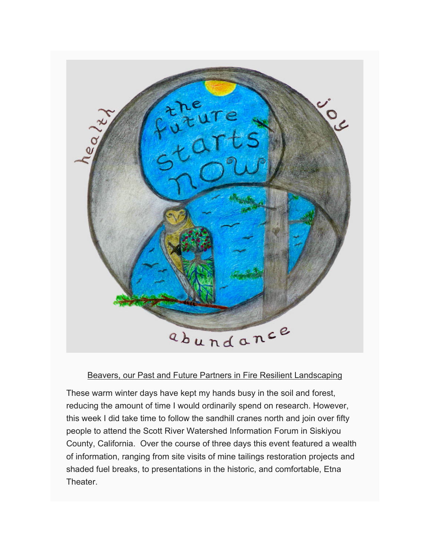

### Beavers, our Past and Future Partners in Fire Resilient Landscaping

These warm winter days have kept my hands busy in the soil and forest, reducing the amount of time I would ordinarily spend on research. However, this week I did take time to follow the sandhill cranes north and join over fifty people to attend the Scott River Watershed Information Forum in Siskiyou County, California. Over the course of three days this event featured a wealth of information, ranging from site visits of mine tailings restoration projects and shaded fuel breaks, to presentations in the historic, and comfortable, Etna Theater.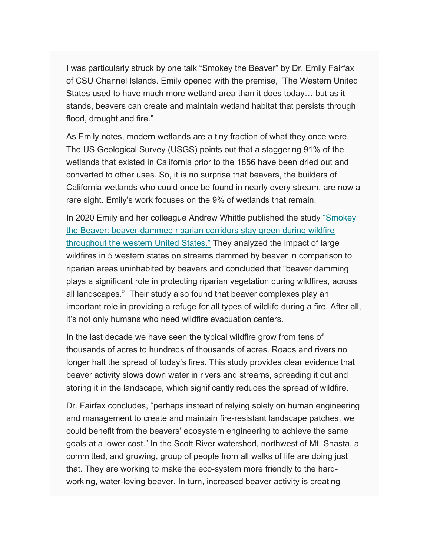I was particularly struck by one talk "Smokey the Beaver" by Dr. Emily Fairfax of CSU Channel Islands. Emily opened with the premise, "The Western United States used to have much more wetland area than it does today… but as it stands, beavers can create and maintain wetland habitat that persists through flood, drought and fire."

As Emily notes, modern wetlands are a tiny fraction of what they once were. The US Geological Survey (USGS) points out that a staggering 91% of the wetlands that existed in California prior to the 1856 have been dried out and converted to other uses. So, it is no surprise that beavers, the builders of California wetlands who could once be found in nearly every stream, are now a rare sight. Emily's work focuses on the 9% of wetlands that remain.

In 2020 Emily and her colleague Andrew Whittle published the study "Smokey" the Beaver: beaver-dammed riparian corridors stay green during wildfire throughout the western United States." They analyzed the impact of large wildfires in 5 western states on streams dammed by beaver in comparison to riparian areas uninhabited by beavers and concluded that "beaver damming plays a significant role in protecting riparian vegetation during wildfires, across all landscapes." Their study also found that beaver complexes play an important role in providing a refuge for all types of wildlife during a fire. After all, it's not only humans who need wildfire evacuation centers.

In the last decade we have seen the typical wildfire grow from tens of thousands of acres to hundreds of thousands of acres. Roads and rivers no longer halt the spread of today's fires. This study provides clear evidence that beaver activity slows down water in rivers and streams, spreading it out and storing it in the landscape, which significantly reduces the spread of wildfire.

Dr. Fairfax concludes, "perhaps instead of relying solely on human engineering and management to create and maintain fire-resistant landscape patches, we could benefit from the beavers' ecosystem engineering to achieve the same goals at a lower cost." In the Scott River watershed, northwest of Mt. Shasta, a committed, and growing, group of people from all walks of life are doing just that. They are working to make the eco-system more friendly to the hardworking, water-loving beaver. In turn, increased beaver activity is creating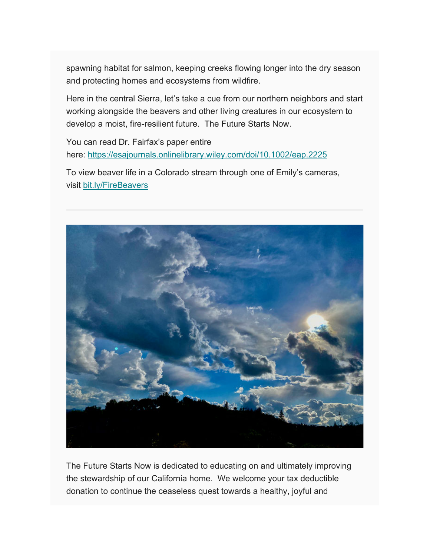spawning habitat for salmon, keeping creeks flowing longer into the dry season and protecting homes and ecosystems from wildfire.

Here in the central Sierra, let's take a cue from our northern neighbors and start working alongside the beavers and other living creatures in our ecosystem to develop a moist, fire-resilient future. The Future Starts Now.

You can read Dr. Fairfax's paper entire here: https://esajournals.onlinelibrary.wiley.com/doi/10.1002/eap.2225

To view beaver life in a Colorado stream through one of Emily's cameras, visit bit.ly/FireBeavers



The Future Starts Now is dedicated to educating on and ultimately improving the stewardship of our California home. We welcome your tax deductible donation to continue the ceaseless quest towards a healthy, joyful and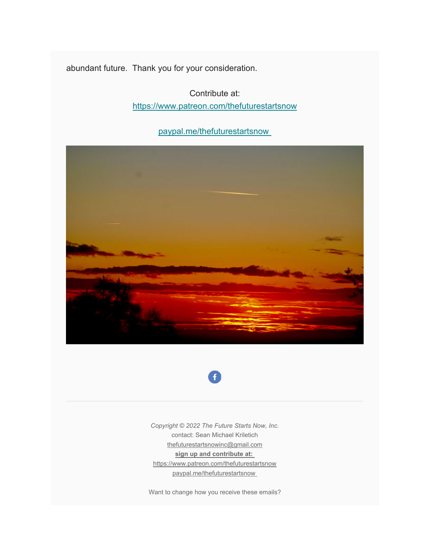abundant future. Thank you for your consideration.

Contribute at: https://www.patreon.com/thefuturestartsnow

paypal.me/thefuturestartsnow





*Copyright © 2022 The Future Starts Now, Inc.* contact: Sean Michael Kriletich thefuturestartsnowinc@gmail.com **sign up and contribute at:**  https://www.patreon.com/thefuturestartsnow paypal.me/thefuturestartsnow

Want to change how you receive these emails?